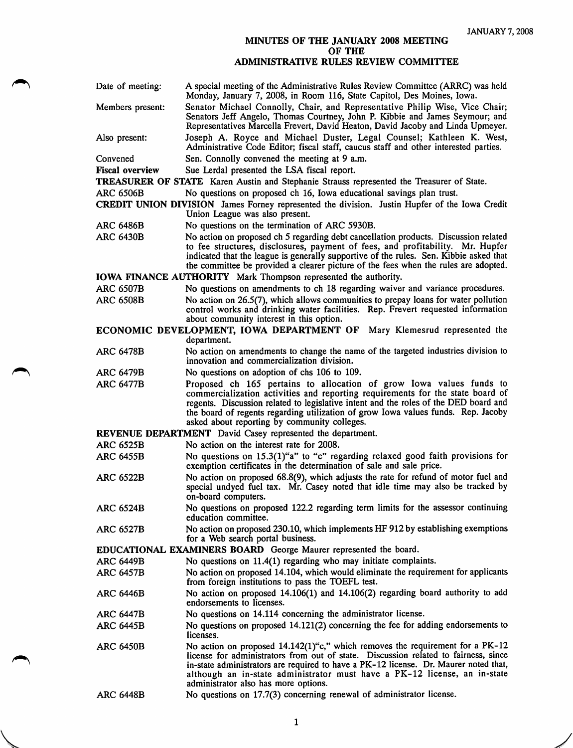## MINUTES OF THE JANUARY 2008 MEETING OF THE

## ADMINISTRATIVE RULES REVIEW COMMITTEE

| Date of meeting:                                                                         | A special meeting of the Administrative Rules Review Committee (ARRC) was held<br>Monday, January 7, 2008, in Room 116, State Capitol, Des Moines, Iowa.                                                                                                                                                                                                                             |  |
|------------------------------------------------------------------------------------------|--------------------------------------------------------------------------------------------------------------------------------------------------------------------------------------------------------------------------------------------------------------------------------------------------------------------------------------------------------------------------------------|--|
| Members present:                                                                         | Senator Michael Connolly, Chair, and Representative Philip Wise, Vice Chair;<br>Senators Jeff Angelo, Thomas Courtney, John P. Kibbie and James Seymour; and<br>Representatives Marcella Frevert, David Heaton, David Jacoby and Linda Upmeyer.                                                                                                                                      |  |
| Also present:                                                                            | Joseph A. Royce and Michael Duster, Legal Counsel; Kathleen K. West,<br>Administrative Code Editor; fiscal staff, caucus staff and other interested parties.                                                                                                                                                                                                                         |  |
| Convened                                                                                 | Sen. Connolly convened the meeting at 9 a.m.                                                                                                                                                                                                                                                                                                                                         |  |
| <b>Fiscal overview</b>                                                                   | Sue Lerdal presented the LSA fiscal report.                                                                                                                                                                                                                                                                                                                                          |  |
|                                                                                          | TREASURER OF STATE Karen Austin and Stephanie Strauss represented the Treasurer of State.                                                                                                                                                                                                                                                                                            |  |
| <b>ARC 6506B</b><br>No questions on proposed ch 16, Iowa educational savings plan trust. |                                                                                                                                                                                                                                                                                                                                                                                      |  |
|                                                                                          | CREDIT UNION DIVISION James Forney represented the division. Justin Hupfer of the Iowa Credit<br>Union League was also present.                                                                                                                                                                                                                                                      |  |
| ARC 6486B                                                                                | No questions on the termination of ARC 5930B.                                                                                                                                                                                                                                                                                                                                        |  |
| <b>ARC 6430B</b>                                                                         | No action on proposed ch 5 regarding debt cancellation products. Discussion related<br>to fee structures, disclosures, payment of fees, and profitability. Mr. Hupfer<br>indicated that the league is generally supportive of the rules. Sen. Kibbie asked that<br>the committee be provided a clearer picture of the fees when the rules are adopted.                               |  |
| <b>IOWA FINANCE AUTHORITY</b> Mark Thompson represented the authority.                   |                                                                                                                                                                                                                                                                                                                                                                                      |  |
| <b>ARC 6507B</b>                                                                         | No questions on amendments to ch 18 regarding waiver and variance procedures.                                                                                                                                                                                                                                                                                                        |  |
| <b>ARC 6508B</b>                                                                         | No action on $26.5(7)$ , which allows communities to prepay loans for water pollution<br>control works and drinking water facilities. Rep. Frevert requested information<br>about community interest in this option.                                                                                                                                                                 |  |
|                                                                                          | ECONOMIC DEVELOPMENT, IOWA DEPARTMENT OF<br>Mary Klemesrud represented the                                                                                                                                                                                                                                                                                                           |  |
|                                                                                          | department.                                                                                                                                                                                                                                                                                                                                                                          |  |
| <b>ARC 6478B</b>                                                                         | No action on amendments to change the name of the targeted industries division to<br>innovation and commercialization division.                                                                                                                                                                                                                                                      |  |
| ARC 6479B                                                                                | No questions on adoption of chs 106 to 109.                                                                                                                                                                                                                                                                                                                                          |  |
| <b>ARC 6477B</b>                                                                         | Proposed ch 165 pertains to allocation of grow Iowa values funds to<br>commercialization activities and reporting requirements for the state board of<br>regents. Discussion related to legislative intent and the roles of the DED board and<br>the board of regents regarding utilization of grow Iowa values funds. Rep. Jacoby<br>asked about reporting by community colleges.   |  |
| REVENUE DEPARTMENT David Casey represented the department.                               |                                                                                                                                                                                                                                                                                                                                                                                      |  |
| <b>ARC 6525B</b>                                                                         | No action on the interest rate for 2008.                                                                                                                                                                                                                                                                                                                                             |  |
| <b>ARC 6455B</b>                                                                         | No questions on $15.3(1)$ "a" to "c" regarding relaxed good faith provisions for<br>exemption certificates in the determination of sale and sale price.                                                                                                                                                                                                                              |  |
| <b>ARC 6522B</b>                                                                         | No action on proposed 68.8(9), which adjusts the rate for refund of motor fuel and<br>special undyed fuel tax. Mr. Casey noted that idle time may also be tracked by<br>on-board computers.                                                                                                                                                                                          |  |
| <b>ARC 6524B</b>                                                                         | No questions on proposed 122.2 regarding term limits for the assessor continuing<br>education committee.                                                                                                                                                                                                                                                                             |  |
| <b>ARC 6527B</b>                                                                         | No action on proposed 230.10, which implements HF 912 by establishing exemptions<br>for a Web search portal business.                                                                                                                                                                                                                                                                |  |
| EDUCATIONAL EXAMINERS BOARD George Maurer represented the board.                         |                                                                                                                                                                                                                                                                                                                                                                                      |  |
| <b>ARC 6449B</b>                                                                         | No questions on 11.4(1) regarding who may initiate complaints.                                                                                                                                                                                                                                                                                                                       |  |
| ARC 6457B                                                                                | No action on proposed 14.104, which would eliminate the requirement for applicants<br>from foreign institutions to pass the TOEFL test.                                                                                                                                                                                                                                              |  |
| <b>ARC 6446B</b>                                                                         | No action on proposed 14.106(1) and 14.106(2) regarding board authority to add<br>endorsements to licenses.                                                                                                                                                                                                                                                                          |  |
| <b>ARC 6447B</b>                                                                         | No questions on 14.114 concerning the administrator license.                                                                                                                                                                                                                                                                                                                         |  |
| <b>ARC 6445B</b>                                                                         | No questions on proposed 14.121(2) concerning the fee for adding endorsements to<br>licenses.                                                                                                                                                                                                                                                                                        |  |
| <b>ARC 6450B</b>                                                                         | No action on proposed $14.142(1)$ "c," which removes the requirement for a PK-12<br>license for administrators from out of state. Discussion related to fairness, since<br>in-state administrators are required to have a PK-12 license. Dr. Maurer noted that,<br>although an in-state administrator must have a PK-12 license, an in-state<br>administrator also has more options. |  |
| <b>ARC 6448B</b>                                                                         | No questions on 17.7(3) concerning renewal of administrator license.                                                                                                                                                                                                                                                                                                                 |  |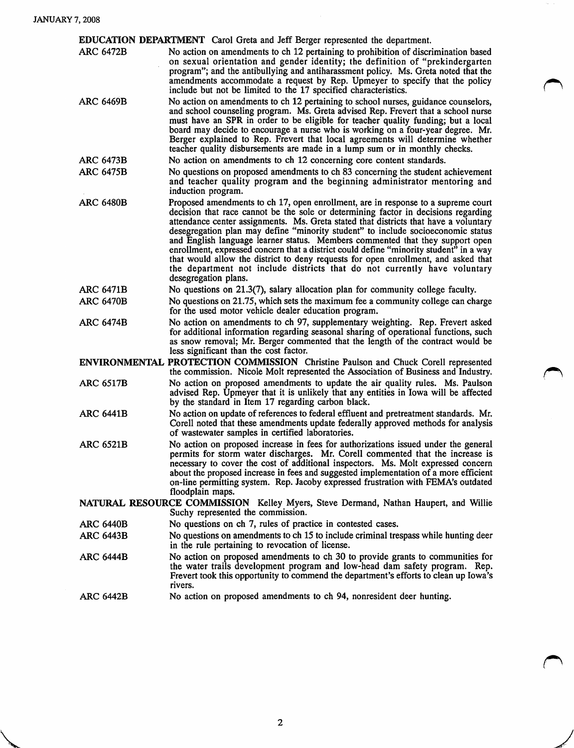**Value Address** 

| <b>EDUCATION DEPARTMENT</b> Carol Greta and Jeff Berger represented the department.                                      |                                                                                                                                                                                                                                                                                                                                                                                                                                                                                                                                                                                                                                                                                                                           |  |
|--------------------------------------------------------------------------------------------------------------------------|---------------------------------------------------------------------------------------------------------------------------------------------------------------------------------------------------------------------------------------------------------------------------------------------------------------------------------------------------------------------------------------------------------------------------------------------------------------------------------------------------------------------------------------------------------------------------------------------------------------------------------------------------------------------------------------------------------------------------|--|
| <b>ARC 6472B</b>                                                                                                         | No action on amendments to ch 12 pertaining to prohibition of discrimination based<br>on sexual orientation and gender identity; the definition of "prekindergarten<br>program"; and the antibullying and antiharassment policy. Ms. Greta noted that the<br>amendments accommodate a request by Rep. Upmeyer to specify that the policy<br>include but not be limited to the 17 specified characteristics.                                                                                                                                                                                                                                                                                                               |  |
| <b>ARC 6469B</b>                                                                                                         | No action on amendments to ch 12 pertaining to school nurses, guidance counselors,<br>and school counseling program. Ms. Greta advised Rep. Frevert that a school nurse<br>must have an SPR in order to be eligible for teacher quality funding; but a local<br>board may decide to encourage a nurse who is working on a four-year degree. Mr.<br>Berger explained to Rep. Frevert that local agreements will determine whether<br>teacher quality disbursements are made in a lump sum or in monthly checks.                                                                                                                                                                                                            |  |
| <b>ARC 6473B</b>                                                                                                         | No action on amendments to ch 12 concerning core content standards.                                                                                                                                                                                                                                                                                                                                                                                                                                                                                                                                                                                                                                                       |  |
| <b>ARC 6475B</b>                                                                                                         | No questions on proposed amendments to ch 83 concerning the student achievement<br>and teacher quality program and the beginning administrator mentoring and<br>induction program.                                                                                                                                                                                                                                                                                                                                                                                                                                                                                                                                        |  |
| <b>ARC 6480B</b>                                                                                                         | Proposed amendments to ch 17, open enrollment, are in response to a supreme court<br>decision that race cannot be the sole or determining factor in decisions regarding<br>attendance center assignments. Ms. Greta stated that districts that have a voluntary<br>desegregation plan may define "minority student" to include socioeconomic status<br>and English language learner status. Members commented that they support open<br>enrollment, expressed concern that a district could define "minority student" in a way<br>that would allow the district to deny requests for open enrollment, and asked that<br>the department not include districts that do not currently have voluntary<br>desegregation plans. |  |
| <b>ARC 6471B</b>                                                                                                         | No questions on 21.3(7), salary allocation plan for community college faculty.                                                                                                                                                                                                                                                                                                                                                                                                                                                                                                                                                                                                                                            |  |
| <b>ARC 6470B</b>                                                                                                         | No questions on 21.75, which sets the maximum fee a community college can charge<br>for the used motor vehicle dealer education program.                                                                                                                                                                                                                                                                                                                                                                                                                                                                                                                                                                                  |  |
| <b>ARC 6474B</b>                                                                                                         | No action on amendments to ch 97, supplementary weighting. Rep. Frevert asked<br>for additional information regarding seasonal sharing of operational functions, such<br>as snow removal; Mr. Berger commented that the length of the contract would be<br>less significant than the cost factor.                                                                                                                                                                                                                                                                                                                                                                                                                         |  |
|                                                                                                                          | ENVIRONMENTAL PROTECTION COMMISSION Christine Paulson and Chuck Corell represented<br>the commission. Nicole Molt represented the Association of Business and Industry.                                                                                                                                                                                                                                                                                                                                                                                                                                                                                                                                                   |  |
| <b>ARC 6517B</b>                                                                                                         | No action on proposed amendments to update the air quality rules. Ms. Paulson<br>advised Rep. Upmeyer that it is unlikely that any entities in Iowa will be affected<br>by the standard in Item 17 regarding carbon black.                                                                                                                                                                                                                                                                                                                                                                                                                                                                                                |  |
| <b>ARC 6441B</b>                                                                                                         | No action on update of references to federal effluent and pretreatment standards. Mr.<br>Corell noted that these amendments update federally approved methods for analysis<br>of wastewater samples in certified laboratories.                                                                                                                                                                                                                                                                                                                                                                                                                                                                                            |  |
| <b>ARC 6521B</b>                                                                                                         | No action on proposed increase in fees for authorizations issued under the general<br>permits for storm water discharges. Mr. Corell commented that the increase is<br>necessary to cover the cost of additional inspectors. Ms. Molt expressed concern<br>about the proposed increase in fees and suggested implementation of a more efficient<br>on-line permitting system. Rep. Jacoby expressed frustration with FEMA's outdated<br>floodplain maps.                                                                                                                                                                                                                                                                  |  |
| NATURAL RESOURCE COMMISSION Kelley Myers, Steve Dermand, Nathan Haupert, and Willie<br>Suchy represented the commission. |                                                                                                                                                                                                                                                                                                                                                                                                                                                                                                                                                                                                                                                                                                                           |  |
| <b>ARC 6440B</b>                                                                                                         | No questions on ch 7, rules of practice in contested cases.                                                                                                                                                                                                                                                                                                                                                                                                                                                                                                                                                                                                                                                               |  |
| <b>ARC 6443B</b>                                                                                                         | No questions on amendments to ch 15 to include criminal trespass while hunting deer<br>in the rule pertaining to revocation of license.                                                                                                                                                                                                                                                                                                                                                                                                                                                                                                                                                                                   |  |
| <b>ARC 6444B</b>                                                                                                         | No action on proposed amendments to ch 30 to provide grants to communities for<br>the water trails development program and low-head dam safety program. Rep.<br>Frevert took this opportunity to commend the department's efforts to clean up Iowa's<br>rivers.                                                                                                                                                                                                                                                                                                                                                                                                                                                           |  |
| <b>ARC 6442B</b>                                                                                                         | No action on proposed amendments to ch 94, nonresident deer hunting.                                                                                                                                                                                                                                                                                                                                                                                                                                                                                                                                                                                                                                                      |  |

 $\sim$   $-$  .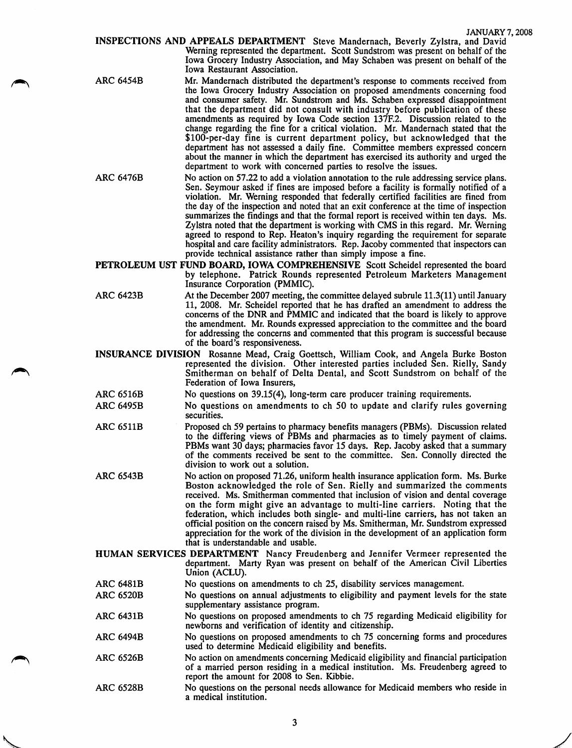INSPECTIONS AND APPEALS DEPARTMENT Steve Mandernach, Beverly Zylstra, and David Werning represented the department. Scott Sundstrom was present on behalf of the Iowa Grocery Industry Association, and May Schaben was present on behalf of the Iowa Restaurant Association.

ARC 6454B

Mr. Mandernach distributed the department's response to comments received from the Iowa Grocery Industry Association on proposed amendments concerning food and consumer safety. Mr. Sundstrom and Ms. Schaben expressed disappointment that the department did not consult with industry before publication of these amendments as required by Iowa Code section 137F.2. Discussion related to the change regarding the fine for a critical violation. Mr. Mandernach stated that the \$100-per-day fine is current department policy, but acknowledged that the department has not assessed a daily fine. Committee members expressed concern about the manner in which the department has exercised its authority and urged the department to work with concerned parties to resolve the issues.

- ARC 6476B No action on 57.22 to add a violation annotation to the rule addressing service plans. Sen. Seymour asked if fines are imposed before a facility is formally notified of a violation. Mr. Werning responded that federally certified facilities are fined from the day of the inspection and noted that an exit conference at the time of inspection summarizes the findings and that the formal report is received within ten days. Ms. Zylstra noted that the department is working with CMS in this regard. Mr. Werning agreed to respond to Rep. Heaton's inquiry regarding the requirement for separate hospital and care facility administrators. Rep. Jacoby commented that inspectors can provide technical assistance rather than simply impose a fine.
- PETROLEUM UST FUND BOARD, IOWA COMPREHENSIVE Scott Scheidel represented the board by telephone. Patrick Rounds represented Petroleum Marketers Management Insurance Corporation (PMMIC).
- ARC 6423B At the December 2007 meeting, the committee delayed subrule 11.3(11) until January 11, 2008. Mr. Scheidel reported that he has drafted an amendment to address the concerns of the DNR and PMMIC and indicated that the board is likely to approve the amendment. Mr. Rounds expressed appreciation to the committee and the board for addressing the concerns and commented that this program is successful because of the board's responsiveness.
- INSURANCE DIVISION Rosanne Mead, Craig Goettsch, William Cook, and Angela Burke Boston represented the division. Other interested parties included Sen. Rielly, Sandy Smitherman on behalf of Delta Dental, and Scott Sundstrom on behalf of the Federation of Iowa Insurers,
- No questions on 39.15(4), long-term care producer training requirements. ARC 6516B
- No questions on amendments to ch 50 to update and clarify rules governing securities. ARC 6495B
- Proposed ch 59 pertains to pharmacy benefits managers (PBMs). Discussion related to the differing views of PBMs and pharmacies as to timely payment of claims. PBMs want 30 days; pharmacies favor 15 days. Rep. Jacoby asked that a summary of the comments received be sent to the committee. Sen. Connolly directed the division to work out a solution. ARC 6511B
- No action on proposed 71.26, uniform health insurance application form. Ms. Burke Boston acknowledged the role of Sen. Rielly and summarized the comments received. Ms. Smitherman commented that inclusion of vision and dental coverage on the form might give an advantage to multi-line carriers. Noting that the federation, which includes both single- and multi-line carriers, has not taken an official position on the concern raised by Ms. Smitherman, Mr. Sundstrom expressed appreciation for the work of the division in the development of an application form that is understandable and usable. ARC 6543B
- HUMAN SERVICES DEPARTMENT Nancy Freudenberg and Jennifer Vermeer represented the department. Marty Ryan was present on behalf of the American Civil Liberties Union (ACLU).
- No questions on amendments to ch 25, disability services management. ARC 6481B
- No questions on annual adjustments to eligibility and payment levels for the state supplementary assistance program. ARC 6520B
- No questions on proposed amendments to ch 75 regarding Medicaid eligibility for newborns and verification of identity and citizenship. ARC 6431B
- No questions on proposed amendments to ch 75 concerning forms and procedures used to determine Medicaid eligibility and benefits. ARC 6494B
- No action on amendments concerning Medicaid eligibility and financial participation of a married person residing in a medical institution. Ms. Freudenberg agreed to report the amount for 2008 to Sen. Kibbie. ARC 6526B
- No questions on the personal needs allowance for Medicaid members who reside in a medical institution. ARC 6528B